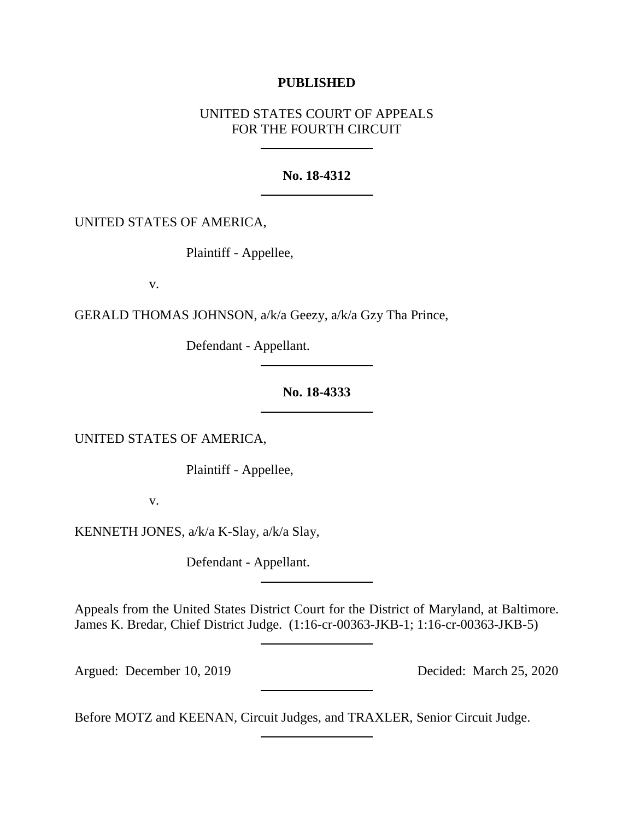## **PUBLISHED**

# UNITED STATES COURT OF APPEALS FOR THE FOURTH CIRCUIT

## **No. 18-4312**

UNITED STATES OF AMERICA,

Plaintiff - Appellee,

v.

GERALD THOMAS JOHNSON, a/k/a Geezy, a/k/a Gzy Tha Prince,

Defendant - Appellant.

## **No. 18-4333**

UNITED STATES OF AMERICA,

Plaintiff - Appellee,

v.

KENNETH JONES, a/k/a K-Slay, a/k/a Slay,

Defendant - Appellant.

Appeals from the United States District Court for the District of Maryland, at Baltimore. James K. Bredar, Chief District Judge. (1:16-cr-00363-JKB-1; 1:16-cr-00363-JKB-5)

Argued: December 10, 2019 Decided: March 25, 2020

Before MOTZ and KEENAN, Circuit Judges, and TRAXLER, Senior Circuit Judge.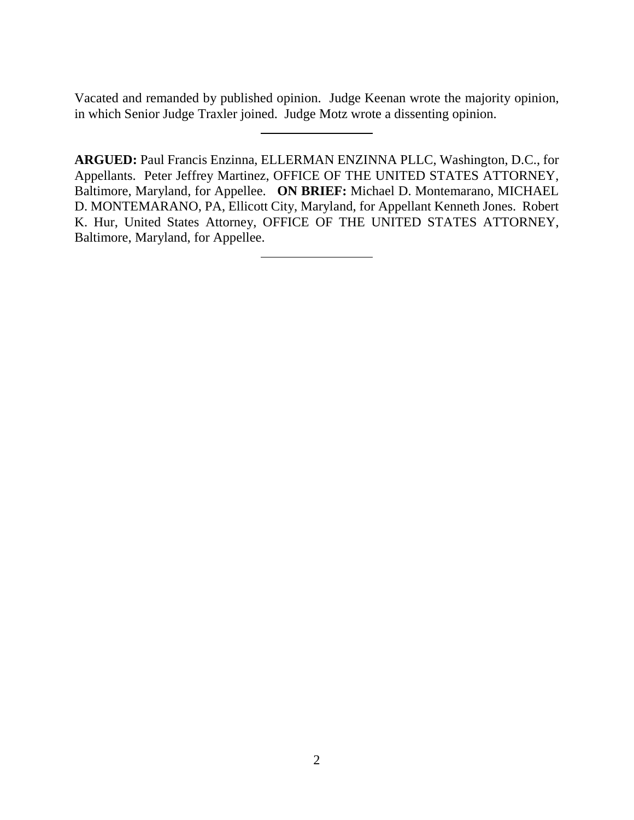Vacated and remanded by published opinion. Judge Keenan wrote the majority opinion, in which Senior Judge Traxler joined. Judge Motz wrote a dissenting opinion.

**ARGUED:** Paul Francis Enzinna, ELLERMAN ENZINNA PLLC, Washington, D.C., for Appellants. Peter Jeffrey Martinez, OFFICE OF THE UNITED STATES ATTORNEY, Baltimore, Maryland, for Appellee. **ON BRIEF:** Michael D. Montemarano, MICHAEL D. MONTEMARANO, PA, Ellicott City, Maryland, for Appellant Kenneth Jones. Robert K. Hur, United States Attorney, OFFICE OF THE UNITED STATES ATTORNEY, Baltimore, Maryland, for Appellee.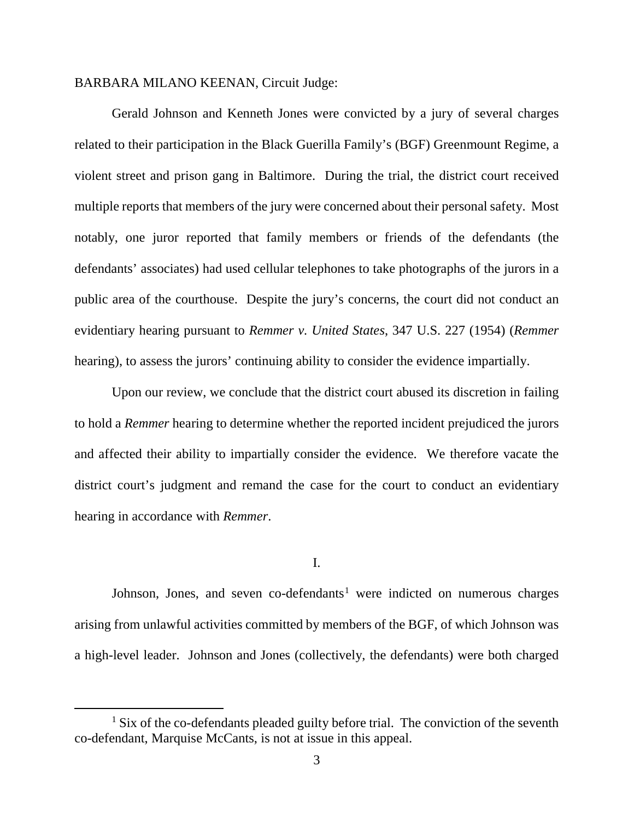### BARBARA MILANO KEENAN, Circuit Judge:

Gerald Johnson and Kenneth Jones were convicted by a jury of several charges related to their participation in the Black Guerilla Family's (BGF) Greenmount Regime, a violent street and prison gang in Baltimore. During the trial, the district court received multiple reports that members of the jury were concerned about their personal safety. Most notably, one juror reported that family members or friends of the defendants (the defendants' associates) had used cellular telephones to take photographs of the jurors in a public area of the courthouse. Despite the jury's concerns, the court did not conduct an evidentiary hearing pursuant to *Remmer v. United States*, 347 U.S. 227 (1954) (*Remmer* hearing), to assess the jurors' continuing ability to consider the evidence impartially.

Upon our review, we conclude that the district court abused its discretion in failing to hold a *Remmer* hearing to determine whether the reported incident prejudiced the jurors and affected their ability to impartially consider the evidence. We therefore vacate the district court's judgment and remand the case for the court to conduct an evidentiary hearing in accordance with *Remmer*.

### I.

Johnson, Jones, and seven co-defendants<sup>[1](#page-2-0)</sup> were indicted on numerous charges arising from unlawful activities committed by members of the BGF, of which Johnson was a high-level leader. Johnson and Jones (collectively, the defendants) were both charged

<span id="page-2-0"></span> $<sup>1</sup>$  Six of the co-defendants pleaded guilty before trial. The conviction of the seventh</sup> co-defendant, Marquise McCants, is not at issue in this appeal.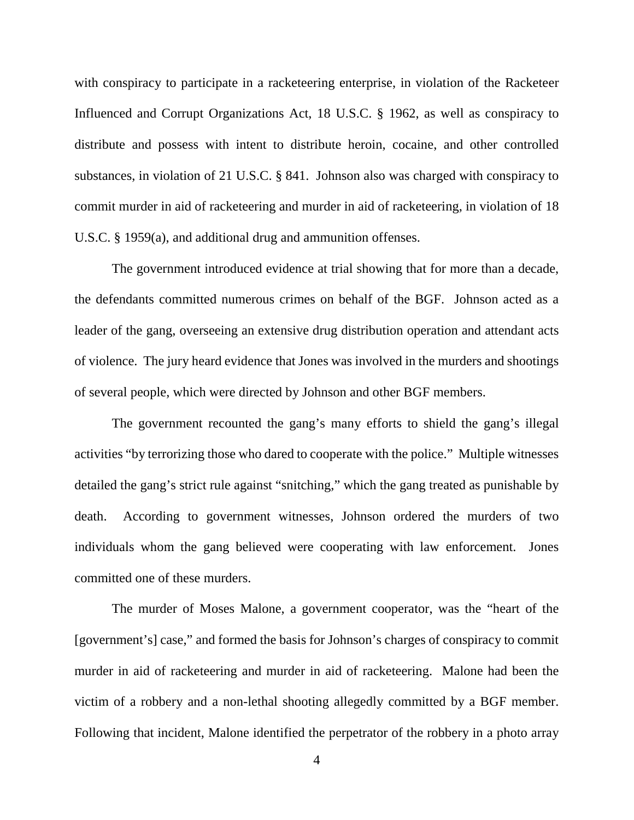with conspiracy to participate in a racketeering enterprise, in violation of the Racketeer Influenced and Corrupt Organizations Act, 18 U.S.C. § 1962, as well as conspiracy to distribute and possess with intent to distribute heroin, cocaine, and other controlled substances, in violation of 21 U.S.C. § 841. Johnson also was charged with conspiracy to commit murder in aid of racketeering and murder in aid of racketeering, in violation of 18 U.S.C. § 1959(a), and additional drug and ammunition offenses.

The government introduced evidence at trial showing that for more than a decade, the defendants committed numerous crimes on behalf of the BGF. Johnson acted as a leader of the gang, overseeing an extensive drug distribution operation and attendant acts of violence. The jury heard evidence that Jones was involved in the murders and shootings of several people, which were directed by Johnson and other BGF members.

The government recounted the gang's many efforts to shield the gang's illegal activities "by terrorizing those who dared to cooperate with the police." Multiple witnesses detailed the gang's strict rule against "snitching," which the gang treated as punishable by death. According to government witnesses, Johnson ordered the murders of two individuals whom the gang believed were cooperating with law enforcement. Jones committed one of these murders.

The murder of Moses Malone, a government cooperator, was the "heart of the [government's] case," and formed the basis for Johnson's charges of conspiracy to commit murder in aid of racketeering and murder in aid of racketeering. Malone had been the victim of a robbery and a non-lethal shooting allegedly committed by a BGF member. Following that incident, Malone identified the perpetrator of the robbery in a photo array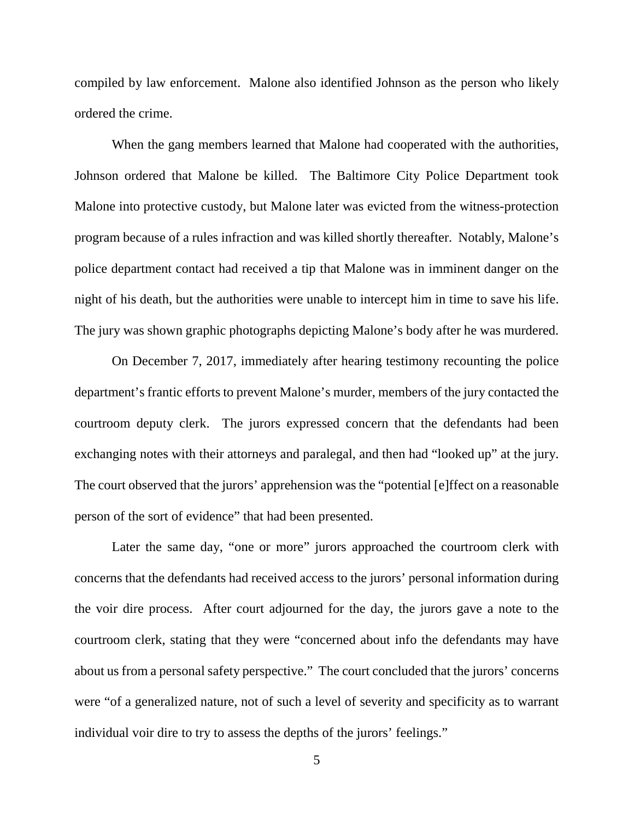compiled by law enforcement. Malone also identified Johnson as the person who likely ordered the crime.

When the gang members learned that Malone had cooperated with the authorities, Johnson ordered that Malone be killed. The Baltimore City Police Department took Malone into protective custody, but Malone later was evicted from the witness-protection program because of a rules infraction and was killed shortly thereafter. Notably, Malone's police department contact had received a tip that Malone was in imminent danger on the night of his death, but the authorities were unable to intercept him in time to save his life. The jury was shown graphic photographs depicting Malone's body after he was murdered.

On December 7, 2017, immediately after hearing testimony recounting the police department's frantic efforts to prevent Malone's murder, members of the jury contacted the courtroom deputy clerk. The jurors expressed concern that the defendants had been exchanging notes with their attorneys and paralegal, and then had "looked up" at the jury. The court observed that the jurors' apprehension was the "potential [e]ffect on a reasonable person of the sort of evidence" that had been presented.

Later the same day, "one or more" jurors approached the courtroom clerk with concerns that the defendants had received access to the jurors' personal information during the voir dire process. After court adjourned for the day, the jurors gave a note to the courtroom clerk, stating that they were "concerned about info the defendants may have about us from a personal safety perspective." The court concluded that the jurors' concerns were "of a generalized nature, not of such a level of severity and specificity as to warrant individual voir dire to try to assess the depths of the jurors' feelings."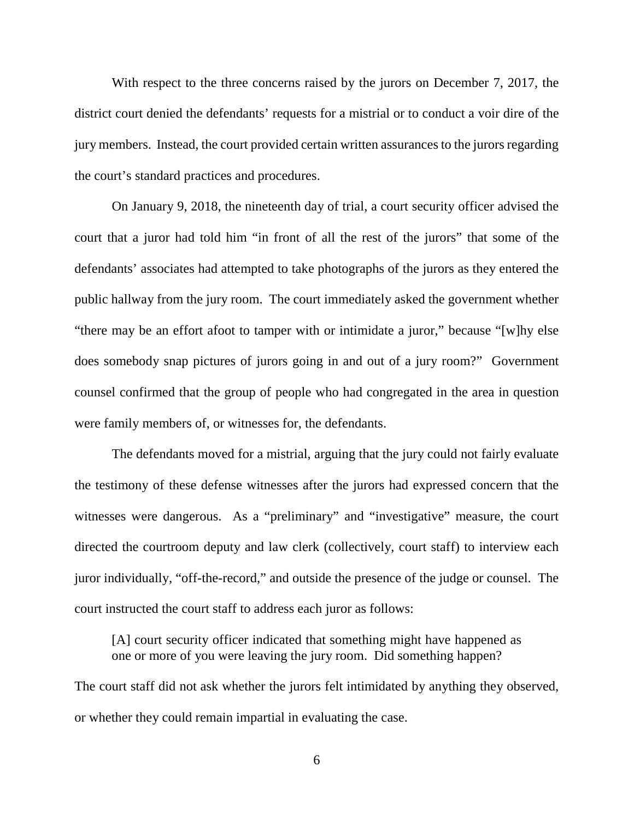With respect to the three concerns raised by the jurors on December 7, 2017, the district court denied the defendants' requests for a mistrial or to conduct a voir dire of the jury members. Instead, the court provided certain written assurances to the jurors regarding the court's standard practices and procedures.

On January 9, 2018, the nineteenth day of trial, a court security officer advised the court that a juror had told him "in front of all the rest of the jurors" that some of the defendants' associates had attempted to take photographs of the jurors as they entered the public hallway from the jury room. The court immediately asked the government whether "there may be an effort afoot to tamper with or intimidate a juror," because "[w]hy else does somebody snap pictures of jurors going in and out of a jury room?" Government counsel confirmed that the group of people who had congregated in the area in question were family members of, or witnesses for, the defendants.

The defendants moved for a mistrial, arguing that the jury could not fairly evaluate the testimony of these defense witnesses after the jurors had expressed concern that the witnesses were dangerous. As a "preliminary" and "investigative" measure, the court directed the courtroom deputy and law clerk (collectively, court staff) to interview each juror individually, "off-the-record," and outside the presence of the judge or counsel. The court instructed the court staff to address each juror as follows:

[A] court security officer indicated that something might have happened as one or more of you were leaving the jury room. Did something happen?

The court staff did not ask whether the jurors felt intimidated by anything they observed, or whether they could remain impartial in evaluating the case.

6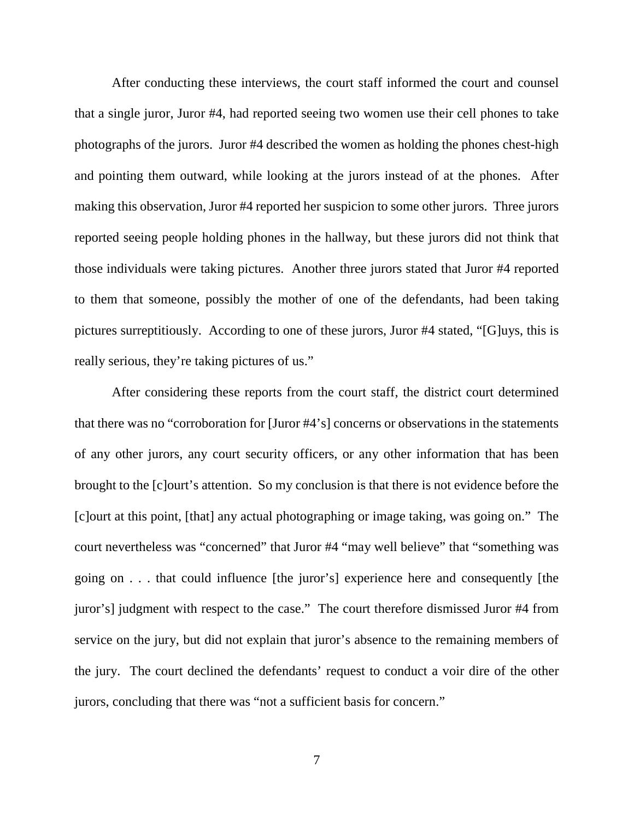After conducting these interviews, the court staff informed the court and counsel that a single juror, Juror #4, had reported seeing two women use their cell phones to take photographs of the jurors. Juror #4 described the women as holding the phones chest-high and pointing them outward, while looking at the jurors instead of at the phones. After making this observation, Juror #4 reported her suspicion to some other jurors. Three jurors reported seeing people holding phones in the hallway, but these jurors did not think that those individuals were taking pictures. Another three jurors stated that Juror #4 reported to them that someone, possibly the mother of one of the defendants, had been taking pictures surreptitiously. According to one of these jurors, Juror #4 stated, "[G]uys, this is really serious, they're taking pictures of us."

After considering these reports from the court staff, the district court determined that there was no "corroboration for [Juror #4's] concerns or observations in the statements of any other jurors, any court security officers, or any other information that has been brought to the [c]ourt's attention. So my conclusion is that there is not evidence before the [c]ourt at this point, [that] any actual photographing or image taking, was going on." The court nevertheless was "concerned" that Juror #4 "may well believe" that "something was going on . . . that could influence [the juror's] experience here and consequently [the juror's] judgment with respect to the case." The court therefore dismissed Juror #4 from service on the jury, but did not explain that juror's absence to the remaining members of the jury. The court declined the defendants' request to conduct a voir dire of the other jurors, concluding that there was "not a sufficient basis for concern."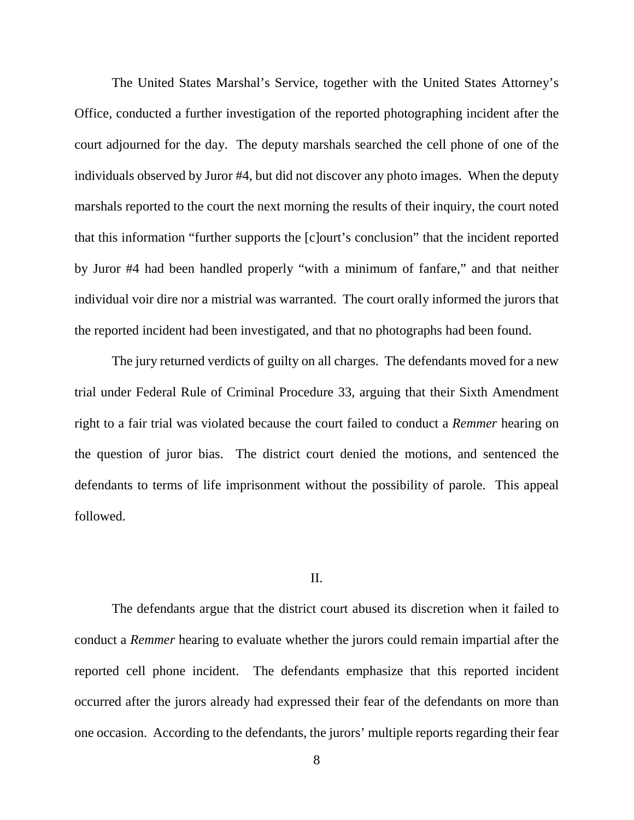The United States Marshal's Service, together with the United States Attorney's Office, conducted a further investigation of the reported photographing incident after the court adjourned for the day. The deputy marshals searched the cell phone of one of the individuals observed by Juror #4, but did not discover any photo images. When the deputy marshals reported to the court the next morning the results of their inquiry, the court noted that this information "further supports the [c]ourt's conclusion" that the incident reported by Juror #4 had been handled properly "with a minimum of fanfare," and that neither individual voir dire nor a mistrial was warranted. The court orally informed the jurors that the reported incident had been investigated, and that no photographs had been found.

The jury returned verdicts of guilty on all charges. The defendants moved for a new trial under Federal Rule of Criminal Procedure 33, arguing that their Sixth Amendment right to a fair trial was violated because the court failed to conduct a *Remmer* hearing on the question of juror bias. The district court denied the motions, and sentenced the defendants to terms of life imprisonment without the possibility of parole. This appeal followed.

#### II.

The defendants argue that the district court abused its discretion when it failed to conduct a *Remmer* hearing to evaluate whether the jurors could remain impartial after the reported cell phone incident. The defendants emphasize that this reported incident occurred after the jurors already had expressed their fear of the defendants on more than one occasion. According to the defendants, the jurors' multiple reports regarding their fear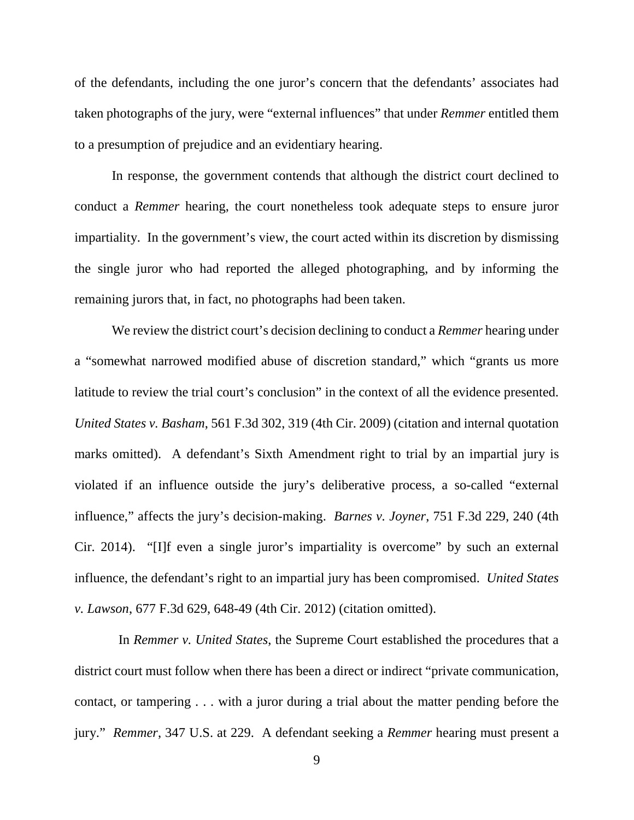of the defendants, including the one juror's concern that the defendants' associates had taken photographs of the jury, were "external influences" that under *Remmer* entitled them to a presumption of prejudice and an evidentiary hearing.

In response, the government contends that although the district court declined to conduct a *Remmer* hearing, the court nonetheless took adequate steps to ensure juror impartiality. In the government's view, the court acted within its discretion by dismissing the single juror who had reported the alleged photographing, and by informing the remaining jurors that, in fact, no photographs had been taken.

We review the district court's decision declining to conduct a *Remmer* hearing under a "somewhat narrowed modified abuse of discretion standard," which "grants us more latitude to review the trial court's conclusion" in the context of all the evidence presented. *United States v. Basham*, 561 F.3d 302, 319 (4th Cir. 2009) (citation and internal quotation marks omitted). A defendant's Sixth Amendment right to trial by an impartial jury is violated if an influence outside the jury's deliberative process, a so-called "external influence," affects the jury's decision-making. *Barnes v. Joyner*, 751 F.3d 229, 240 (4th Cir. 2014). "[I]f even a single juror's impartiality is overcome" by such an external influence, the defendant's right to an impartial jury has been compromised. *United States v. Lawson*, 677 F.3d 629, 648-49 (4th Cir. 2012) (citation omitted).

 In *Remmer v. United States*, the Supreme Court established the procedures that a district court must follow when there has been a direct or indirect "private communication, contact, or tampering . . . with a juror during a trial about the matter pending before the jury." *Remmer*, 347 U.S. at 229. A defendant seeking a *Remmer* hearing must present a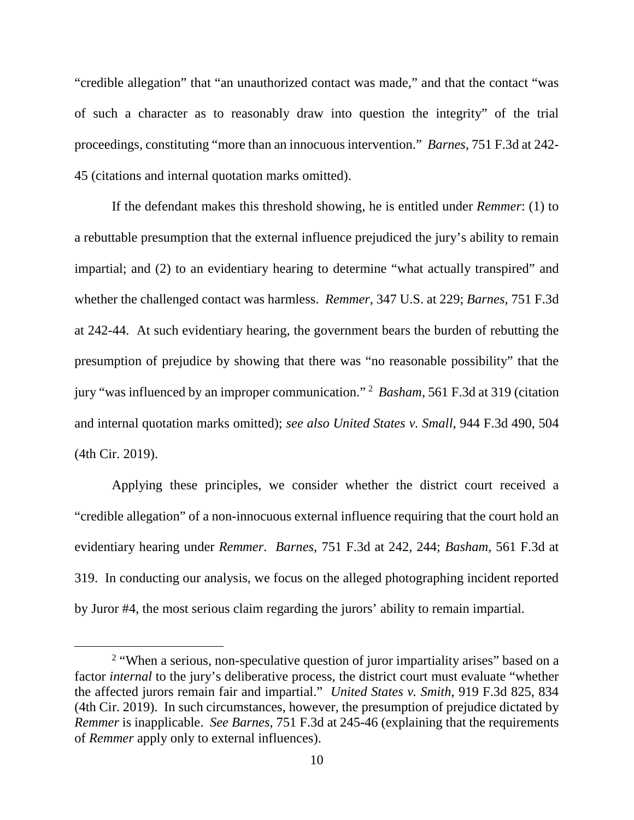"credible allegation" that "an unauthorized contact was made," and that the contact "was of such a character as to reasonably draw into question the integrity" of the trial proceedings, constituting "more than an innocuous intervention." *Barnes*, 751 F.3d at 242- 45 (citations and internal quotation marks omitted).

If the defendant makes this threshold showing, he is entitled under *Remmer*: (1) to a rebuttable presumption that the external influence prejudiced the jury's ability to remain impartial; and (2) to an evidentiary hearing to determine "what actually transpired" and whether the challenged contact was harmless. *Remmer*, 347 U.S. at 229; *Barnes*, 751 F.3d at 242-44. At such evidentiary hearing, the government bears the burden of rebutting the presumption of prejudice by showing that there was "no reasonable possibility" that the jury "was influenced by an improper communication." [2](#page-9-0) *Basham*, 561 F.3d at 319 (citation and internal quotation marks omitted); *see also United States v. Small*, 944 F.3d 490, 504 (4th Cir. 2019).

Applying these principles, we consider whether the district court received a "credible allegation" of a non-innocuous external influence requiring that the court hold an evidentiary hearing under *Remmer*. *Barnes*, 751 F.3d at 242, 244; *Basham*, 561 F.3d at 319. In conducting our analysis, we focus on the alleged photographing incident reported by Juror #4, the most serious claim regarding the jurors' ability to remain impartial.

<span id="page-9-0"></span><sup>&</sup>lt;sup>2</sup> "When a serious, non-speculative question of juror impartiality arises" based on a factor *internal* to the jury's deliberative process, the district court must evaluate "whether the affected jurors remain fair and impartial." *United States v. Smith*, 919 F.3d 825, 834 (4th Cir. 2019). In such circumstances, however, the presumption of prejudice dictated by *Remmer* is inapplicable. *See Barnes*, 751 F.3d at 245-46 (explaining that the requirements of *Remmer* apply only to external influences).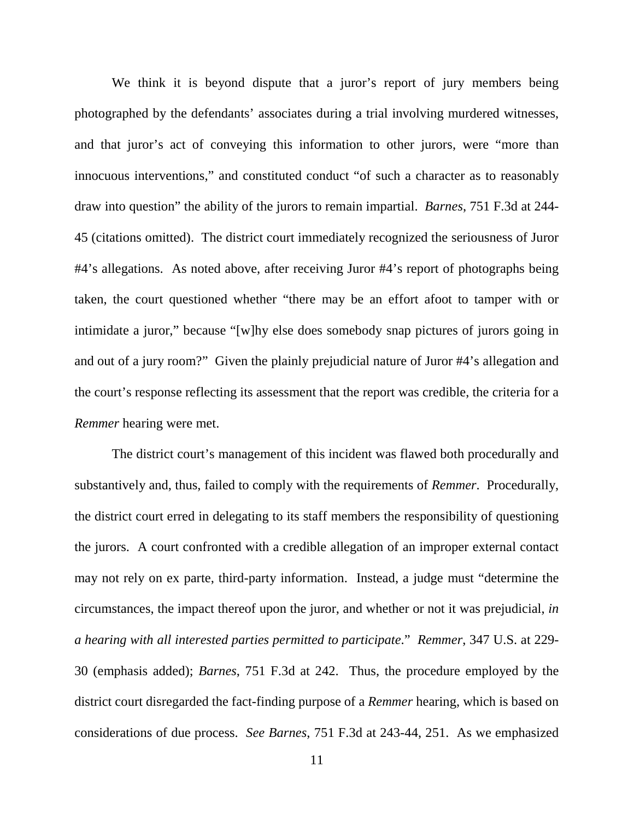We think it is beyond dispute that a juror's report of jury members being photographed by the defendants' associates during a trial involving murdered witnesses, and that juror's act of conveying this information to other jurors, were "more than innocuous interventions," and constituted conduct "of such a character as to reasonably draw into question" the ability of the jurors to remain impartial. *Barnes*, 751 F.3d at 244- 45 (citations omitted). The district court immediately recognized the seriousness of Juror #4's allegations. As noted above, after receiving Juror #4's report of photographs being taken, the court questioned whether "there may be an effort afoot to tamper with or intimidate a juror," because "[w]hy else does somebody snap pictures of jurors going in and out of a jury room?" Given the plainly prejudicial nature of Juror #4's allegation and the court's response reflecting its assessment that the report was credible, the criteria for a *Remmer* hearing were met.

The district court's management of this incident was flawed both procedurally and substantively and, thus, failed to comply with the requirements of *Remmer*. Procedurally, the district court erred in delegating to its staff members the responsibility of questioning the jurors. A court confronted with a credible allegation of an improper external contact may not rely on ex parte, third-party information. Instead, a judge must "determine the circumstances, the impact thereof upon the juror, and whether or not it was prejudicial, *in a hearing with all interested parties permitted to participate*." *Remmer*, 347 U.S. at 229- 30 (emphasis added); *Barnes*, 751 F.3d at 242. Thus, the procedure employed by the district court disregarded the fact-finding purpose of a *Remmer* hearing, which is based on considerations of due process. *See Barnes*, 751 F.3d at 243-44, 251. As we emphasized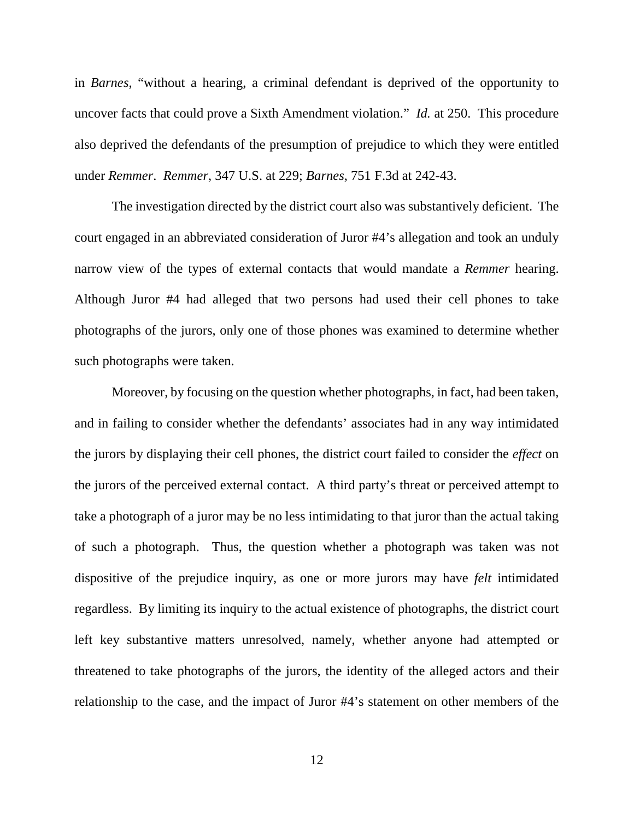in *Barnes*, "without a hearing, a criminal defendant is deprived of the opportunity to uncover facts that could prove a Sixth Amendment violation." *Id.* at 250. This procedure also deprived the defendants of the presumption of prejudice to which they were entitled under *Remmer*. *Remmer*, 347 U.S. at 229; *Barnes*, 751 F.3d at 242-43.

The investigation directed by the district court also was substantively deficient. The court engaged in an abbreviated consideration of Juror #4's allegation and took an unduly narrow view of the types of external contacts that would mandate a *Remmer* hearing. Although Juror #4 had alleged that two persons had used their cell phones to take photographs of the jurors, only one of those phones was examined to determine whether such photographs were taken.

Moreover, by focusing on the question whether photographs, in fact, had been taken, and in failing to consider whether the defendants' associates had in any way intimidated the jurors by displaying their cell phones, the district court failed to consider the *effect* on the jurors of the perceived external contact. A third party's threat or perceived attempt to take a photograph of a juror may be no less intimidating to that juror than the actual taking of such a photograph. Thus, the question whether a photograph was taken was not dispositive of the prejudice inquiry, as one or more jurors may have *felt* intimidated regardless. By limiting its inquiry to the actual existence of photographs, the district court left key substantive matters unresolved, namely, whether anyone had attempted or threatened to take photographs of the jurors, the identity of the alleged actors and their relationship to the case, and the impact of Juror #4's statement on other members of the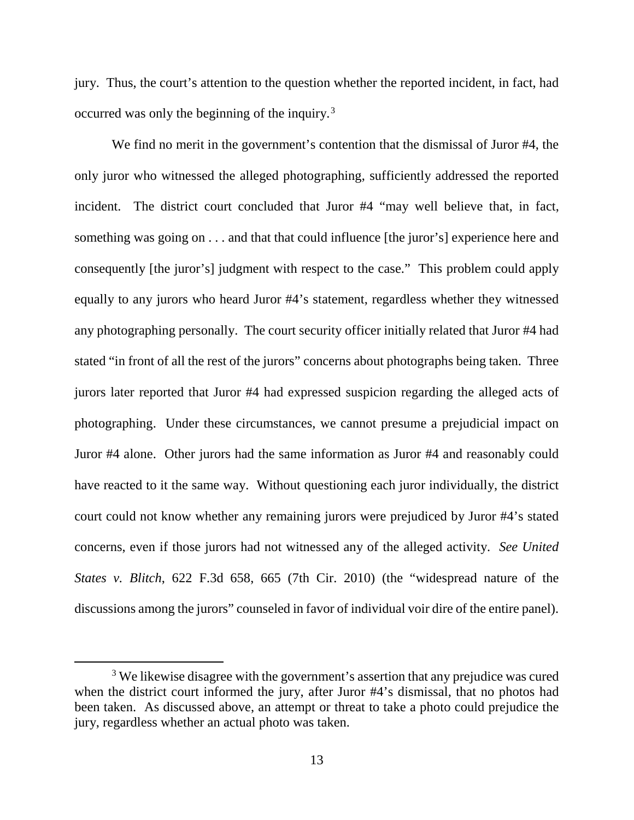jury. Thus, the court's attention to the question whether the reported incident, in fact, had occurred was only the beginning of the inquiry.<sup>[3](#page-12-0)</sup>

We find no merit in the government's contention that the dismissal of Juror #4, the only juror who witnessed the alleged photographing, sufficiently addressed the reported incident. The district court concluded that Juror #4 "may well believe that, in fact, something was going on . . . and that that could influence [the juror's] experience here and consequently [the juror's] judgment with respect to the case." This problem could apply equally to any jurors who heard Juror #4's statement, regardless whether they witnessed any photographing personally. The court security officer initially related that Juror #4 had stated "in front of all the rest of the jurors" concerns about photographs being taken. Three jurors later reported that Juror #4 had expressed suspicion regarding the alleged acts of photographing. Under these circumstances, we cannot presume a prejudicial impact on Juror #4 alone. Other jurors had the same information as Juror #4 and reasonably could have reacted to it the same way. Without questioning each juror individually, the district court could not know whether any remaining jurors were prejudiced by Juror #4's stated concerns, even if those jurors had not witnessed any of the alleged activity. *See United States v. Blitch*, 622 F.3d 658, 665 (7th Cir. 2010) (the "widespread nature of the discussions among the jurors" counseled in favor of individual voir dire of the entire panel).

<span id="page-12-0"></span><sup>&</sup>lt;sup>3</sup> We likewise disagree with the government's assertion that any prejudice was cured when the district court informed the jury, after Juror #4's dismissal, that no photos had been taken. As discussed above, an attempt or threat to take a photo could prejudice the jury, regardless whether an actual photo was taken.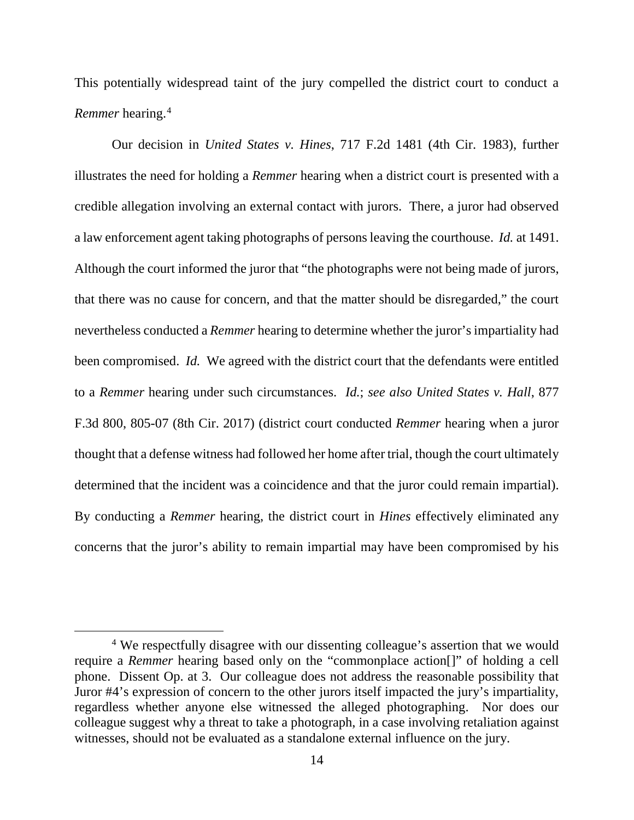This potentially widespread taint of the jury compelled the district court to conduct a *Remmer* hearing.[4](#page-13-0)

Our decision in *United States v. Hines*, 717 F.2d 1481 (4th Cir. 1983), further illustrates the need for holding a *Remmer* hearing when a district court is presented with a credible allegation involving an external contact with jurors. There, a juror had observed a law enforcement agent taking photographs of persons leaving the courthouse. *Id.* at 1491. Although the court informed the juror that "the photographs were not being made of jurors, that there was no cause for concern, and that the matter should be disregarded," the court nevertheless conducted a *Remmer* hearing to determine whether the juror's impartiality had been compromised. *Id.* We agreed with the district court that the defendants were entitled to a *Remmer* hearing under such circumstances. *Id.*; *see also United States v. Hall*, 877 F.3d 800, 805-07 (8th Cir. 2017) (district court conducted *Remmer* hearing when a juror thought that a defense witness had followed her home after trial, though the court ultimately determined that the incident was a coincidence and that the juror could remain impartial). By conducting a *Remmer* hearing, the district court in *Hines* effectively eliminated any concerns that the juror's ability to remain impartial may have been compromised by his

<span id="page-13-0"></span><sup>&</sup>lt;sup>4</sup> We respectfully disagree with our dissenting colleague's assertion that we would require a *Remmer* hearing based only on the "commonplace action[]" of holding a cell phone. Dissent Op. at 3. Our colleague does not address the reasonable possibility that Juror #4's expression of concern to the other jurors itself impacted the jury's impartiality, regardless whether anyone else witnessed the alleged photographing. Nor does our colleague suggest why a threat to take a photograph, in a case involving retaliation against witnesses, should not be evaluated as a standalone external influence on the jury.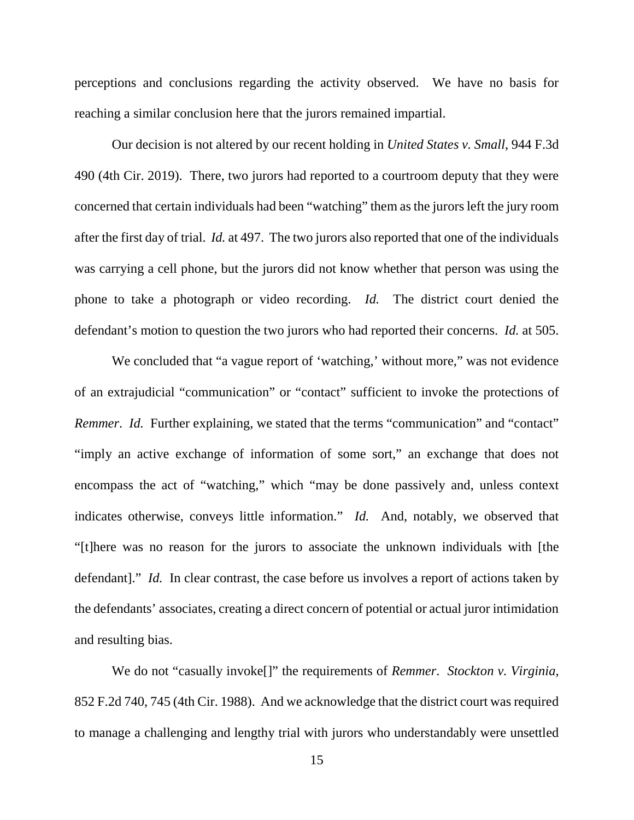perceptions and conclusions regarding the activity observed. We have no basis for reaching a similar conclusion here that the jurors remained impartial.

Our decision is not altered by our recent holding in *United States v. Small*, 944 F.3d 490 (4th Cir. 2019). There, two jurors had reported to a courtroom deputy that they were concerned that certain individuals had been "watching" them as the jurors left the jury room after the first day of trial. *Id.* at 497. The two jurors also reported that one of the individuals was carrying a cell phone, but the jurors did not know whether that person was using the phone to take a photograph or video recording. *Id.* The district court denied the defendant's motion to question the two jurors who had reported their concerns. *Id.* at 505.

We concluded that "a vague report of 'watching,' without more," was not evidence of an extrajudicial "communication" or "contact" sufficient to invoke the protections of *Remmer. Id.* Further explaining, we stated that the terms "communication" and "contact" "imply an active exchange of information of some sort," an exchange that does not encompass the act of "watching," which "may be done passively and, unless context indicates otherwise, conveys little information." *Id.* And, notably, we observed that "[t]here was no reason for the jurors to associate the unknown individuals with [the defendant]." *Id.* In clear contrast, the case before us involves a report of actions taken by the defendants' associates, creating a direct concern of potential or actual juror intimidation and resulting bias.

We do not "casually invoke[]" the requirements of *Remmer*. *Stockton v. Virginia*, 852 F.2d 740, 745 (4th Cir. 1988). And we acknowledge that the district court was required to manage a challenging and lengthy trial with jurors who understandably were unsettled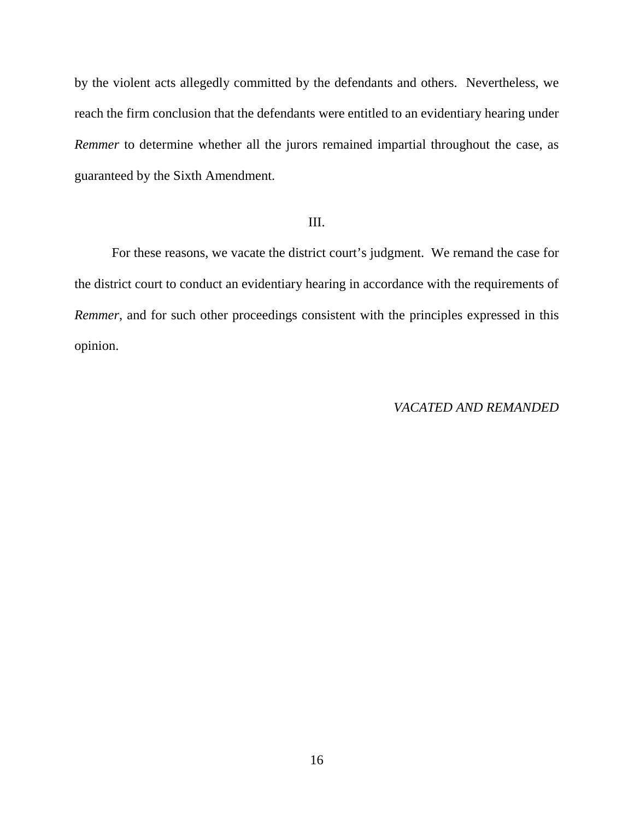by the violent acts allegedly committed by the defendants and others. Nevertheless, we reach the firm conclusion that the defendants were entitled to an evidentiary hearing under *Remmer* to determine whether all the jurors remained impartial throughout the case, as guaranteed by the Sixth Amendment.

### III.

For these reasons, we vacate the district court's judgment. We remand the case for the district court to conduct an evidentiary hearing in accordance with the requirements of *Remmer*, and for such other proceedings consistent with the principles expressed in this opinion.

### *VACATED AND REMANDED*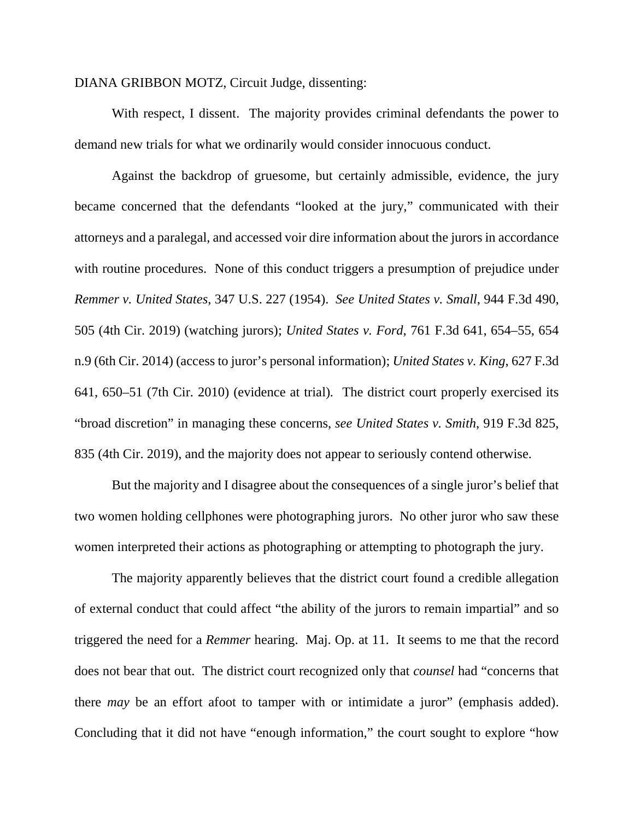### DIANA GRIBBON MOTZ, Circuit Judge, dissenting:

With respect, I dissent. The majority provides criminal defendants the power to demand new trials for what we ordinarily would consider innocuous conduct.

Against the backdrop of gruesome, but certainly admissible, evidence, the jury became concerned that the defendants "looked at the jury," communicated with their attorneys and a paralegal, and accessed voir dire information about the jurors in accordance with routine procedures. None of this conduct triggers a presumption of prejudice under *Remmer v. United States*, 347 U.S. 227 (1954). *See United States v. Small*, 944 F.3d 490, 505 (4th Cir. 2019) (watching jurors); *United States v. Ford*, 761 F.3d 641, 654–55, 654 n.9 (6th Cir. 2014) (access to juror's personal information); *United States v. King*, 627 F.3d 641, 650–51 (7th Cir. 2010) (evidence at trial)*.* The district court properly exercised its "broad discretion" in managing these concerns, *see United States v. Smith*, 919 F.3d 825, 835 (4th Cir. 2019), and the majority does not appear to seriously contend otherwise.

But the majority and I disagree about the consequences of a single juror's belief that two women holding cellphones were photographing jurors. No other juror who saw these women interpreted their actions as photographing or attempting to photograph the jury.

The majority apparently believes that the district court found a credible allegation of external conduct that could affect "the ability of the jurors to remain impartial" and so triggered the need for a *Remmer* hearing. Maj. Op. at 11. It seems to me that the record does not bear that out. The district court recognized only that *counsel* had "concerns that there *may* be an effort afoot to tamper with or intimidate a juror" (emphasis added). Concluding that it did not have "enough information," the court sought to explore "how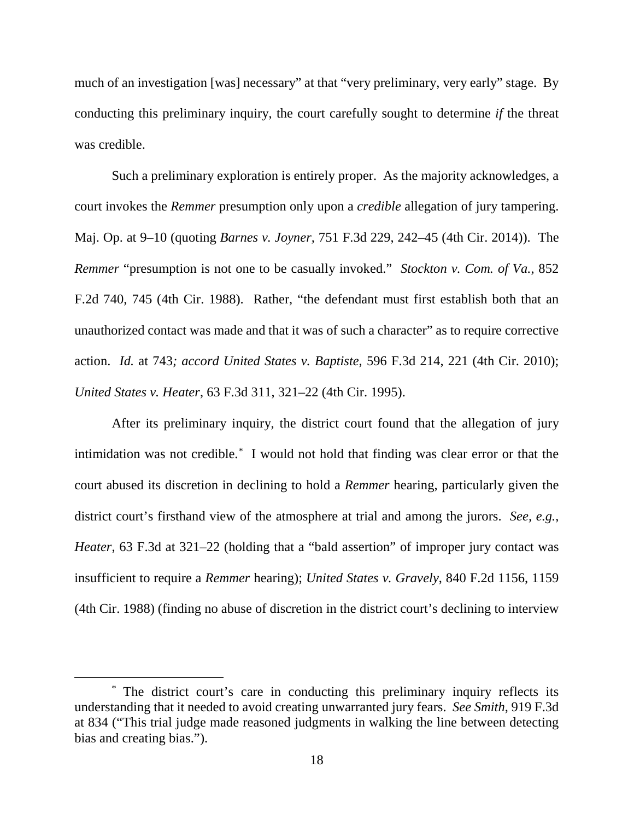much of an investigation [was] necessary" at that "very preliminary, very early" stage. By conducting this preliminary inquiry, the court carefully sought to determine *if* the threat was credible.

Such a preliminary exploration is entirely proper. As the majority acknowledges, a court invokes the *Remmer* presumption only upon a *credible* allegation of jury tampering. Maj. Op. at 9–10 (quoting *Barnes v. Joyner,* 751 F.3d 229, 242–45 (4th Cir. 2014)). The *Remmer* "presumption is not one to be casually invoked." *Stockton v. Com. of Va.*, 852 F.2d 740, 745 (4th Cir. 1988). Rather, "the defendant must first establish both that an unauthorized contact was made and that it was of such a character" as to require corrective action. *Id.* at 743*; accord United States v. Baptiste*, 596 F.3d 214, 221 (4th Cir. 2010); *United States v. Heater*, 63 F.3d 311, 321–22 (4th Cir. 1995).

After its preliminary inquiry, the district court found that the allegation of jury intimidation was not credible.[\\*](#page-17-0) I would not hold that finding was clear error or that the court abused its discretion in declining to hold a *Remmer* hearing, particularly given the district court's firsthand view of the atmosphere at trial and among the jurors. *See, e.g.*, *Heater*, 63 F.3d at 321–22 (holding that a "bald assertion" of improper jury contact was insufficient to require a *Remmer* hearing); *United States v. Gravely*, 840 F.2d 1156, 1159 (4th Cir. 1988) (finding no abuse of discretion in the district court's declining to interview

<span id="page-17-0"></span> <sup>\*</sup> The district court's care in conducting this preliminary inquiry reflects its understanding that it needed to avoid creating unwarranted jury fears. *See Smith*, 919 F.3d at 834 ("This trial judge made reasoned judgments in walking the line between detecting bias and creating bias.").